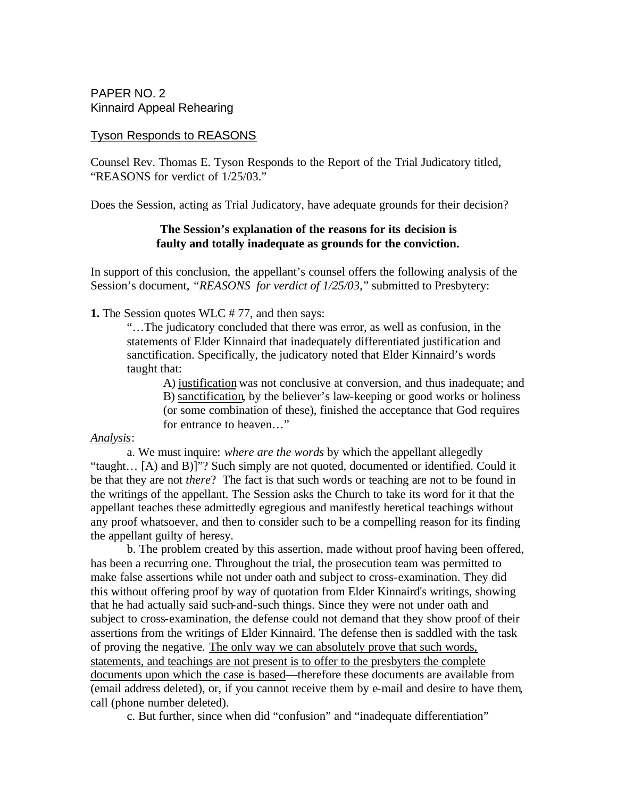PAPER NO. 2 Kinnaird Appeal Rehearing

## Tyson Responds to REASONS

Counsel Rev. Thomas E. Tyson Responds to the Report of the Trial Judicatory titled, "REASONS for verdict of 1/25/03."

Does the Session, acting as Trial Judicatory, have adequate grounds for their decision?

# **The Session's explanation of the reasons for its decision is faulty and totally inadequate as grounds for the conviction.**

In support of this conclusion, the appellant's counsel offers the following analysis of the Session's document, *"REASONS for verdict of 1/25/03,*" submitted to Presbytery:

**1.** The Session quotes WLC # 77, and then says:

"…The judicatory concluded that there was error, as well as confusion, in the statements of Elder Kinnaird that inadequately differentiated justification and sanctification. Specifically, the judicatory noted that Elder Kinnaird's words taught that:

A) justification was not conclusive at conversion, and thus inadequate; and B) sanctification, by the believer's law-keeping or good works or holiness (or some combination of these), finished the acceptance that God requires for entrance to heaven…"

### *Analysis*:

a. We must inquire: *where are the words* by which the appellant allegedly "taught… [A) and B)]"? Such simply are not quoted, documented or identified. Could it be that they are not *there*? The fact is that such words or teaching are not to be found in the writings of the appellant. The Session asks the Church to take its word for it that the appellant teaches these admittedly egregious and manifestly heretical teachings without any proof whatsoever, and then to consider such to be a compelling reason for its finding the appellant guilty of heresy.

b. The problem created by this assertion, made without proof having been offered, has been a recurring one. Throughout the trial, the prosecution team was permitted to make false assertions while not under oath and subject to cross-examination. They did this without offering proof by way of quotation from Elder Kinnaird's writings, showing that he had actually said such-and-such things. Since they were not under oath and subject to cross-examination, the defense could not demand that they show proof of their assertions from the writings of Elder Kinnaird. The defense then is saddled with the task of proving the negative. The only way we can absolutely prove that such words, statements, and teachings are not present is to offer to the presbyters the complete documents upon which the case is based—therefore these documents are available from (email address deleted), or, if you cannot receive them by e-mail and desire to have them, call (phone number deleted).

c. But further, since when did "confusion" and "inadequate differentiation"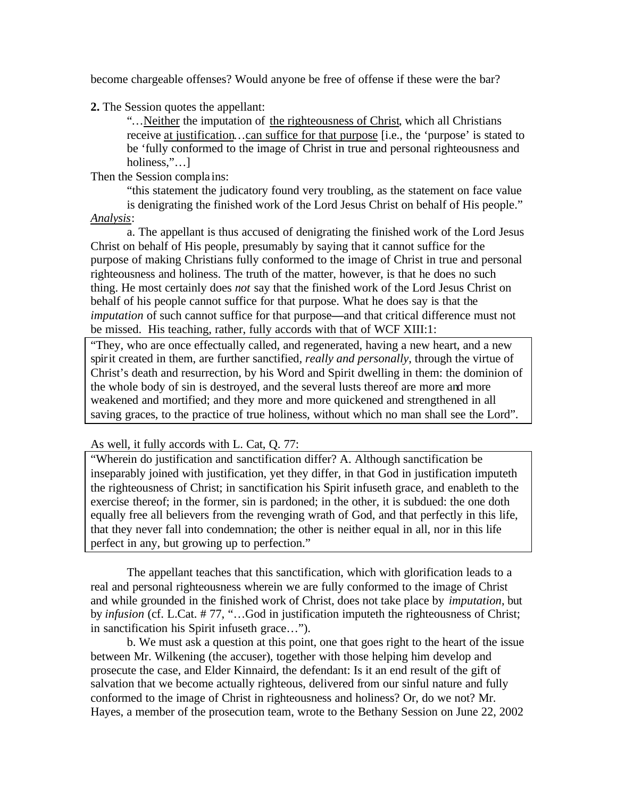become chargeable offenses? Would anyone be free of offense if these were the bar?

**2.** The Session quotes the appellant:

"…Neither the imputation of the righteousness of Christ, which all Christians receive at justification…can suffice for that purpose [i.e., the 'purpose' is stated to be 'fully conformed to the image of Christ in true and personal righteousness and holiness,"…]

Then the Session compla ins:

"this statement the judicatory found very troubling, as the statement on face value is denigrating the finished work of the Lord Jesus Christ on behalf of His people." *Analysis*:

a. The appellant is thus accused of denigrating the finished work of the Lord Jesus Christ on behalf of His people, presumably by saying that it cannot suffice for the purpose of making Christians fully conformed to the image of Christ in true and personal righteousness and holiness. The truth of the matter, however, is that he does no such thing. He most certainly does *not* say that the finished work of the Lord Jesus Christ on behalf of his people cannot suffice for that purpose. What he does say is that the *imputation* of such cannot suffice for that purpose**—**and that critical difference must not be missed. His teaching, rather, fully accords with that of WCF XIII:1:

"They, who are once effectually called, and regenerated, having a new heart, and a new spirit created in them, are further sanctified*, really and personally*, through the virtue of Christ's death and resurrection, by his Word and Spirit dwelling in them: the dominion of the whole body of sin is destroyed, and the several lusts thereof are more and more weakened and mortified; and they more and more quickened and strengthened in all saving graces, to the practice of true holiness, without which no man shall see the Lord".

As well, it fully accords with L. Cat, Q. 77:

"Wherein do justification and sanctification differ? A. Although sanctification be inseparably joined with justification, yet they differ, in that God in justification imputeth the righteousness of Christ; in sanctification his Spirit infuseth grace, and enableth to the exercise thereof; in the former, sin is pardoned; in the other, it is subdued: the one doth equally free all believers from the revenging wrath of God, and that perfectly in this life, that they never fall into condemnation; the other is neither equal in all, nor in this life perfect in any, but growing up to perfection."

The appellant teaches that this sanctification, which with glorification leads to a real and personal righteousness wherein we are fully conformed to the image of Christ and while grounded in the finished work of Christ, does not take place by *imputation*, but by *infusion* (cf. L.Cat. # 77, "…God in justification imputeth the righteousness of Christ; in sanctification his Spirit infuseth grace…").

b. We must ask a question at this point, one that goes right to the heart of the issue between Mr. Wilkening (the accuser), together with those helping him develop and prosecute the case, and Elder Kinnaird, the defendant: Is it an end result of the gift of salvation that we become actually righteous, delivered from our sinful nature and fully conformed to the image of Christ in righteousness and holiness? Or, do we not? Mr. Hayes, a member of the prosecution team, wrote to the Bethany Session on June 22, 2002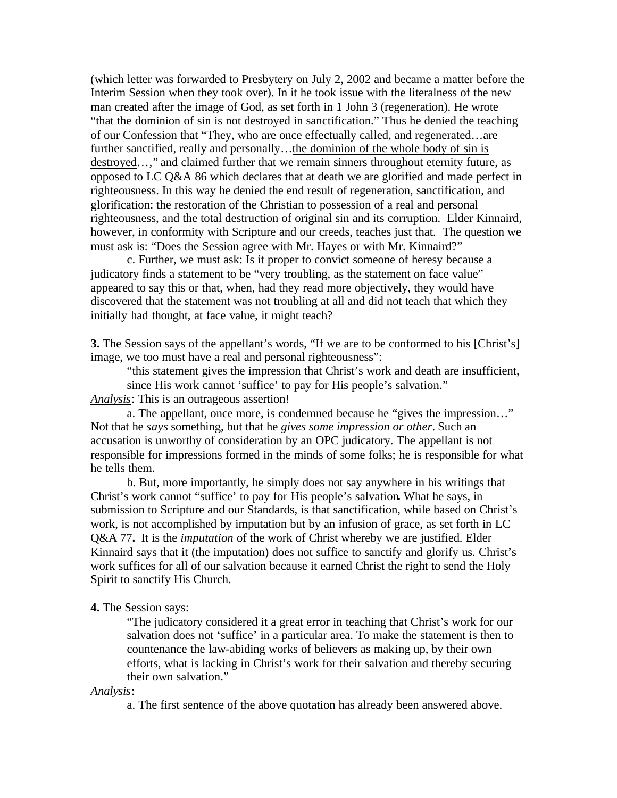(which letter was forwarded to Presbytery on July 2, 2002 and became a matter before the Interim Session when they took over). In it he took issue with the literalness of the new man created after the image of God, as set forth in 1 John 3 (regeneration). He wrote "that the dominion of sin is not destroyed in sanctification." Thus he denied the teaching of our Confession that "They, who are once effectually called, and regenerated…are further sanctified, really and personally…the dominion of the whole body of sin is destroyed…," and claimed further that we remain sinners throughout eternity future, as opposed to LC Q&A 86 which declares that at death we are glorified and made perfect in righteousness. In this way he denied the end result of regeneration, sanctification, and glorification: the restoration of the Christian to possession of a real and personal righteousness, and the total destruction of original sin and its corruption. Elder Kinnaird, however, in conformity with Scripture and our creeds, teaches just that. The question we must ask is: "Does the Session agree with Mr. Hayes or with Mr. Kinnaird?"

c. Further, we must ask: Is it proper to convict someone of heresy because a judicatory finds a statement to be "very troubling, as the statement on face value" appeared to say this or that, when, had they read more objectively, they would have discovered that the statement was not troubling at all and did not teach that which they initially had thought, at face value, it might teach?

**3.** The Session says of the appellant's words, "If we are to be conformed to his [Christ's] image, we too must have a real and personal righteousness":

"this statement gives the impression that Christ's work and death are insufficient, since His work cannot 'suffice' to pay for His people's salvation."

*Analysis*: This is an outrageous assertion!

a. The appellant, once more, is condemned because he "gives the impression…" Not that he *says* something, but that he *gives some impression or other*. Such an accusation is unworthy of consideration by an OPC judicatory. The appellant is not responsible for impressions formed in the minds of some folks; he is responsible for what he tells them.

b. But, more importantly, he simply does not say anywhere in his writings that Christ's work cannot "suffice' to pay for His people's salvation**.** What he says, in submission to Scripture and our Standards, is that sanctification, while based on Christ's work, is not accomplished by imputation but by an infusion of grace, as set forth in LC Q&A 77**.** It is the *imputation* of the work of Christ whereby we are justified. Elder Kinnaird says that it (the imputation) does not suffice to sanctify and glorify us. Christ's work suffices for all of our salvation because it earned Christ the right to send the Holy Spirit to sanctify His Church.

#### **4.** The Session says:

"The judicatory considered it a great error in teaching that Christ's work for our salvation does not 'suffice' in a particular area. To make the statement is then to countenance the law-abiding works of believers as making up, by their own efforts, what is lacking in Christ's work for their salvation and thereby securing their own salvation."

*Analysis*:

a. The first sentence of the above quotation has already been answered above.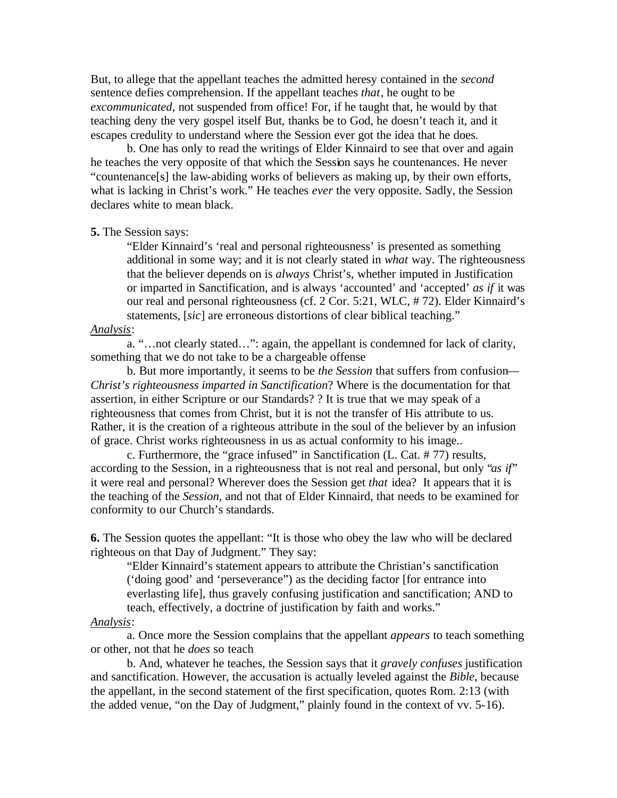But, to allege that the appellant teaches the admitted heresy contained in the *second* sentence defies comprehension. If the appellant teaches *that*, he ought to be *excommunicated*, not suspended from office! For, if he taught that, he would by that teaching deny the very gospel itself But, thanks be to God, he doesn't teach it, and it escapes credulity to understand where the Session ever got the idea that he does.

b. One has only to read the writings of Elder Kinnaird to see that over and again he teaches the very opposite of that which the Session says he countenances. He never "countenance[s] the law-abiding works of believers as making up, by their own efforts, what is lacking in Christ's work." He teaches *ever* the very opposite. Sadly, the Session declares white to mean black.

### **5.** The Session says:

"Elder Kinnaird's 'real and personal righteousness' is presented as something additional in some way; and it is not clearly stated in *what* way. The righteousness that the believer depends on is *always* Christ's, whether imputed in Justification or imparted in Sanctification, and is always 'accounted' and 'accepted' *as if* it was our real and personal righteousness (cf. 2 Cor. 5:21, WLC, # 72). Elder Kinnaird's statements, [*sic*] are erroneous distortions of clear biblical teaching."

## *Analysis*:

a. "…not clearly stated…": again, the appellant is condemned for lack of clarity, something that we do not take to be a chargeable offense

b. But more importantly, it seems to be *the Session* that suffers from confusion— *Christ's righteousness imparted in Sanctification*? Where is the documentation for that assertion, in either Scripture or our Standards? ? It is true that we may speak of a righteousness that comes from Christ, but it is not the transfer of His attribute to us. Rather, it is the creation of a righteous attribute in the soul of the believer by an infusion of grace. Christ works righteousness in us as actual conformity to his image..

c. Furthermore, the "grace infused" in Sanctification (L. Cat. # 77) results, according to the Session, in a righteousness that is not real and personal, but only "*as if*" it were real and personal? Wherever does the Session get *that* idea? It appears that it is the teaching of the *Session*, and not that of Elder Kinnaird, that needs to be examined for conformity to our Church's standards.

**6.** The Session quotes the appellant: "It is those who obey the law who will be declared righteous on that Day of Judgment." They say:

"Elder Kinnaird's statement appears to attribute the Christian's sanctification ('doing good' and 'perseverance") as the deciding factor [for entrance into everlasting life], thus gravely confusing justification and sanctification; AND to teach, effectively, a doctrine of justification by faith and works."

#### *Analysis*:

a. Once more the Session complains that the appellant *appears* to teach something or other, not that he *does* so teach

b. And, whatever he teaches, the Session says that it *gravely confuses* justification and sanctification. However, the accusation is actually leveled against the *Bible*, because the appellant, in the second statement of the first specification, quotes Rom. 2:13 (with the added venue, "on the Day of Judgment," plainly found in the context of vv. 5-16).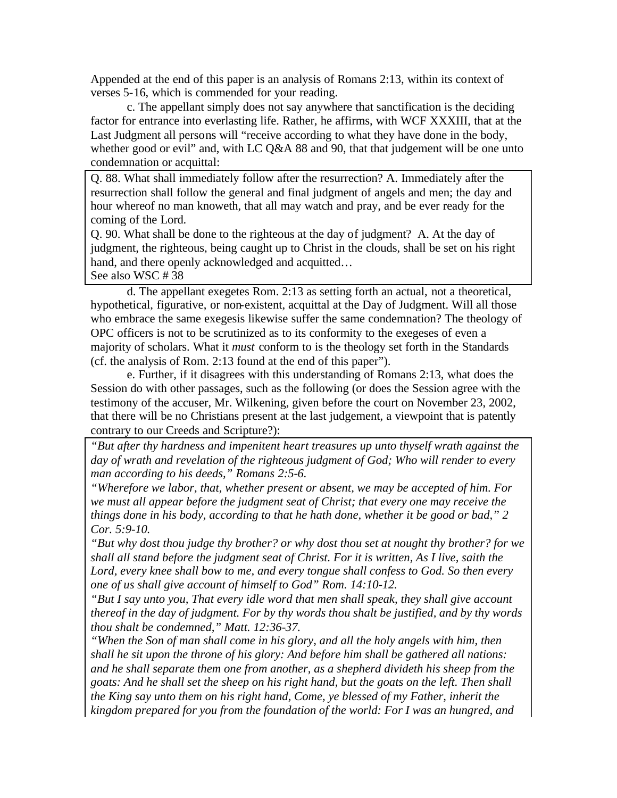Appended at the end of this paper is an analysis of Romans 2:13, within its context of verses 5-16, which is commended for your reading.

c. The appellant simply does not say anywhere that sanctification is the deciding factor for entrance into everlasting life. Rather, he affirms, with WCF XXXIII, that at the Last Judgment all persons will "receive according to what they have done in the body, whether good or evil" and, with LC Q&A 88 and 90, that that judgement will be one unto condemnation or acquittal:

Q. 88. What shall immediately follow after the resurrection? A. Immediately after the resurrection shall follow the general and final judgment of angels and men; the day and hour whereof no man knoweth, that all may watch and pray, and be ever ready for the coming of the Lord.

Q. 90. What shall be done to the righteous at the day of judgment? A. At the day of judgment, the righteous, being caught up to Christ in the clouds, shall be set on his right hand, and there openly acknowledged and acquitted...

See also WSC # 38

d. The appellant exegetes Rom. 2:13 as setting forth an actual, not a theoretical, hypothetical, figurative, or non-existent, acquittal at the Day of Judgment. Will all those who embrace the same exegesis likewise suffer the same condemnation? The theology of OPC officers is not to be scrutinized as to its conformity to the exegeses of even a majority of scholars. What it *must* conform to is the theology set forth in the Standards (cf. the analysis of Rom. 2:13 found at the end of this paper").

e. Further, if it disagrees with this understanding of Romans 2:13, what does the Session do with other passages, such as the following (or does the Session agree with the testimony of the accuser, Mr. Wilkening, given before the court on November 23, 2002, that there will be no Christians present at the last judgement, a viewpoint that is patently contrary to our Creeds and Scripture?):

*"But after thy hardness and impenitent heart treasures up unto thyself wrath against the day of wrath and revelation of the righteous judgment of God; Who will render to every man according to his deeds," Romans 2:5-6.*

*"Wherefore we labor, that, whether present or absent, we may be accepted of him. For we must all appear before the judgment seat of Christ; that every one may receive the things done in his body, according to that he hath done, whether it be good or bad," 2 Cor. 5:9-10.*

*"But why dost thou judge thy brother? or why dost thou set at nought thy brother? for we shall all stand before the judgment seat of Christ. For it is written, As I live, saith the Lord, every knee shall bow to me, and every tongue shall confess to God. So then every one of us shall give account of himself to God" Rom. 14:10-12.*

*"But I say unto you, That every idle word that men shall speak, they shall give account thereof in the day of judgment. For by thy words thou shalt be justified, and by thy words thou shalt be condemned," Matt. 12:36-37.*

*"When the Son of man shall come in his glory, and all the holy angels with him, then shall he sit upon the throne of his glory: And before him shall be gathered all nations: and he shall separate them one from another, as a shepherd divideth his sheep from the goats: And he shall set the sheep on his right hand, but the goats on the left. Then shall the King say unto them on his right hand, Come, ye blessed of my Father, inherit the kingdom prepared for you from the foundation of the world: For I was an hungred, and*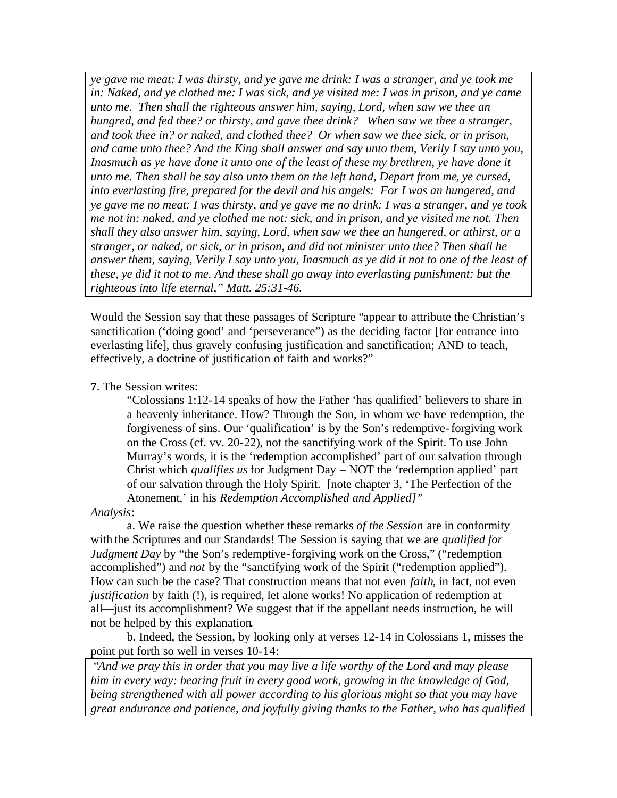*ye gave me meat: I was thirsty, and ye gave me drink: I was a stranger, and ye took me in: Naked, and ye clothed me: I was sick, and ye visited me: I was in prison, and ye came unto me. Then shall the righteous answer him, saying, Lord, when saw we thee an hungred, and fed thee? or thirsty, and gave thee drink? When saw we thee a stranger, and took thee in? or naked, and clothed thee? Or when saw we thee sick, or in prison, and came unto thee? And the King shall answer and say unto them, Verily I say unto you, Inasmuch as ye have done it unto one of the least of these my brethren, ye have done it unto me. Then shall he say also unto them on the left hand, Depart from me, ye cursed, into everlasting fire, prepared for the devil and his angels: For I was an hungered, and ye gave me no meat: I was thirsty, and ye gave me no drink: I was a stranger, and ye took me not in: naked, and ye clothed me not: sick, and in prison, and ye visited me not. Then shall they also answer him, saying, Lord, when saw we thee an hungered, or athirst, or a stranger, or naked, or sick, or in prison, and did not minister unto thee? Then shall he answer them, saying, Verily I say unto you, Inasmuch as ye did it not to one of the least of these, ye did it not to me. And these shall go away into everlasting punishment: but the righteous into life eternal," Matt. 25:31-46.*

Would the Session say that these passages of Scripture "appear to attribute the Christian's sanctification ('doing good' and 'perseverance") as the deciding factor [for entrance into everlasting life], thus gravely confusing justification and sanctification; AND to teach, effectively, a doctrine of justification of faith and works?"

## **7**. The Session writes:

"Colossians 1:12-14 speaks of how the Father 'has qualified' believers to share in a heavenly inheritance. How? Through the Son, in whom we have redemption, the forgiveness of sins. Our 'qualification' is by the Son's redemptive-forgiving work on the Cross (cf. vv. 20-22), not the sanctifying work of the Spirit. To use John Murray's words, it is the 'redemption accomplished' part of our salvation through Christ which *qualifies us* for Judgment Day – NOT the 'redemption applied' part of our salvation through the Holy Spirit. [note chapter 3, 'The Perfection of the Atonement,' in his *Redemption Accomplished and Applied]"*

## *Analysis*:

a. We raise the question whether these remarks *of the Session* are in conformity with the Scriptures and our Standards! The Session is saying that we are *qualified for Judgment Day* by "the Son's redemptive-forgiving work on the Cross," ("redemption accomplished") and *not* by the "sanctifying work of the Spirit ("redemption applied"). How can such be the case? That construction means that not even *faith*, in fact, not even *justification* by faith (!), is required, let alone works! No application of redemption at all—just its accomplishment? We suggest that if the appellant needs instruction, he will not be helped by this explanation**.** 

b. Indeed, the Session, by looking only at verses 12-14 in Colossians 1, misses the point put forth so well in verses 10-14:

 "*And we pray this in order that you may live a life worthy of the Lord and may please him in every way: bearing fruit in every good work, growing in the knowledge of God, being strengthened with all power according to his glorious might so that you may have great endurance and patience, and joyfully giving thanks to the Father, who has qualified*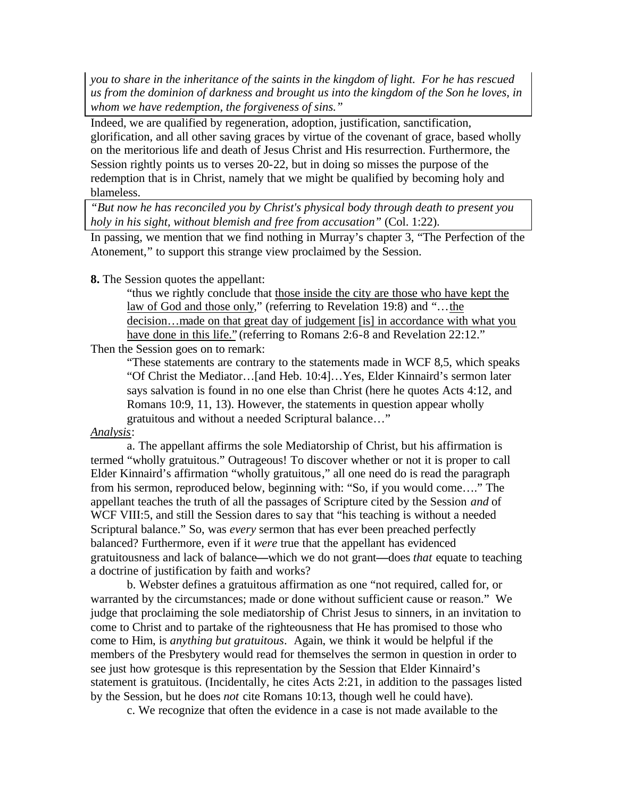*you to share in the inheritance of the saints in the kingdom of light. For he has rescued us from the dominion of darkness and brought us into the kingdom of the Son he loves, in whom we have redemption, the forgiveness of sins."*

Indeed, we are qualified by regeneration, adoption, justification, sanctification, glorification, and all other saving graces by virtue of the covenant of grace, based wholly on the meritorious life and death of Jesus Christ and His resurrection. Furthermore, the Session rightly points us to verses 20-22, but in doing so misses the purpose of the redemption that is in Christ, namely that we might be qualified by becoming holy and blameless.

*"But now he has reconciled you by Christ's physical body through death to present you holy in his sight, without blemish and free from accusation"* (Col. 1:22).

In passing, we mention that we find nothing in Murray's chapter 3, "The Perfection of the Atonement," to support this strange view proclaimed by the Session.

**8.** The Session quotes the appellant:

"thus we rightly conclude that those inside the city are those who have kept the law of God and those only," (referring to Revelation 19:8) and "…the decision…made on that great day of judgement [is] in accordance with what you have done in this life." (referring to Romans 2:6-8 and Revelation 22:12."

Then the Session goes on to remark:

"These statements are contrary to the statements made in WCF 8,5, which speaks "Of Christ the Mediator…[and Heb. 10:4]…Yes, Elder Kinnaird's sermon later says salvation is found in no one else than Christ (here he quotes Acts 4:12, and Romans 10:9, 11, 13). However, the statements in question appear wholly gratuitous and without a needed Scriptural balance…"

## *Analysis*:

a. The appellant affirms the sole Mediatorship of Christ, but his affirmation is termed "wholly gratuitous." Outrageous! To discover whether or not it is proper to call Elder Kinnaird's affirmation "wholly gratuitous," all one need do is read the paragraph from his sermon, reproduced below, beginning with: "So, if you would come…." The appellant teaches the truth of all the passages of Scripture cited by the Session *and* of WCF VIII:5, and still the Session dares to say that "his teaching is without a needed Scriptural balance." So, was *every* sermon that has ever been preached perfectly balanced? Furthermore, even if it *were* true that the appellant has evidenced gratuitousness and lack of balance**—**which we do not grant**—**does *that* equate to teaching a doctrine of justification by faith and works?

b. Webster defines a gratuitous affirmation as one "not required, called for, or warranted by the circumstances; made or done without sufficient cause or reason." We judge that proclaiming the sole mediatorship of Christ Jesus to sinners, in an invitation to come to Christ and to partake of the righteousness that He has promised to those who come to Him, is *anything but gratuitous*. Again, we think it would be helpful if the members of the Presbytery would read for themselves the sermon in question in order to see just how grotesque is this representation by the Session that Elder Kinnaird's statement is gratuitous. (Incidentally, he cites Acts 2:21, in addition to the passages listed by the Session, but he does *not* cite Romans 10:13, though well he could have).

c. We recognize that often the evidence in a case is not made available to the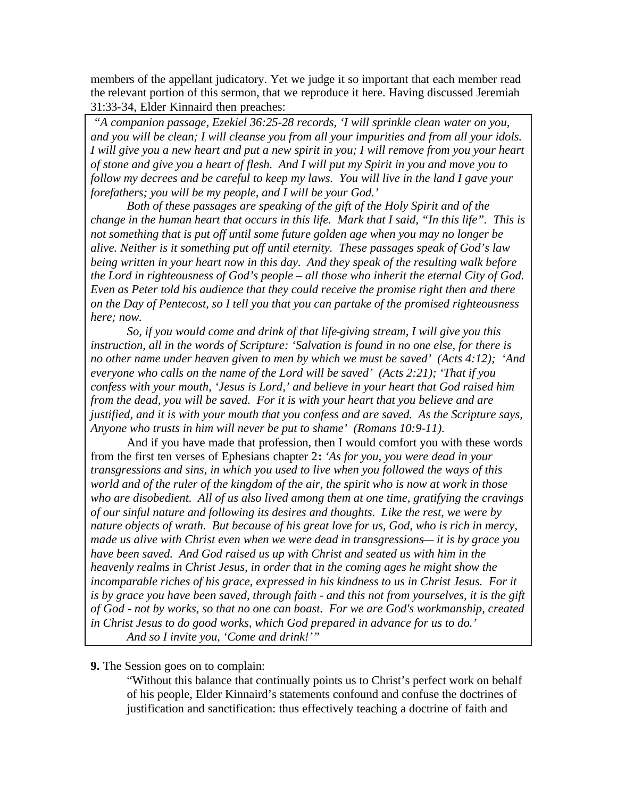members of the appellant judicatory. Yet we judge it so important that each member read the relevant portion of this sermon, that we reproduce it here. Having discussed Jeremiah 31:33-34, Elder Kinnaird then preaches:

 *"A companion passage, Ezekiel 36:25-28 records, 'I will sprinkle clean water on you, and you will be clean; I will cleanse you from all your impurities and from all your idols. I will give you a new heart and put a new spirit in you; I will remove from you your heart of stone and give you a heart of flesh. And I will put my Spirit in you and move you to follow my decrees and be careful to keep my laws. You will live in the land I gave your forefathers; you will be my people, and I will be your God.'*

*Both of these passages are speaking of the gift of the Holy Spirit and of the change in the human heart that occurs in this life. Mark that I said, "In this life". This is not something that is put off until some future golden age when you may no longer be alive. Neither is it something put off until eternity. These passages speak of God's law being written in your heart now in this day. And they speak of the resulting walk before the Lord in righteousness of God's people – all those who inherit the eternal City of God. Even as Peter told his audience that they could receive the promise right then and there on the Day of Pentecost, so I tell you that you can partake of the promised righteousness here; now.*

*So, if you would come and drink of that life-giving stream, I will give you this instruction, all in the words of Scripture: 'Salvation is found in no one else, for there is no other name under heaven given to men by which we must be saved' (Acts 4:12); 'And everyone who calls on the name of the Lord will be saved' (Acts 2:21); 'That if you confess with your mouth, 'Jesus is Lord,' and believe in your heart that God raised him from the dead, you will be saved. For it is with your heart that you believe and are justified, and it is with your mouth that you confess and are saved. As the Scripture says, Anyone who trusts in him will never be put to shame' (Romans 10:9-11).*

And if you have made that profession, then I would comfort you with these words from the first ten verses of Ephesians chapter 2**:** *'As for you, you were dead in your transgressions and sins, in which you used to live when you followed the ways of this world and of the ruler of the kingdom of the air, the spirit who is now at work in those who are disobedient. All of us also lived among them at one time, gratifying the cravings of our sinful nature and following its desires and thoughts. Like the rest, we were by nature objects of wrath. But because of his great love for us, God, who is rich in mercy, made us alive with Christ even when we were dead in transgressions— it is by grace you have been saved. And God raised us up with Christ and seated us with him in the heavenly realms in Christ Jesus, in order that in the coming ages he might show the incomparable riches of his grace, expressed in his kindness to us in Christ Jesus. For it is by grace you have been saved, through faith - and this not from yourselves, it is the gift of God - not by works, so that no one can boast. For we are God's workmanship, created in Christ Jesus to do good works, which God prepared in advance for us to do.' And so I invite you, 'Come and drink!'"*

## **9.** The Session goes on to complain:

"Without this balance that continually points us to Christ's perfect work on behalf of his people, Elder Kinnaird's statements confound and confuse the doctrines of justification and sanctification: thus effectively teaching a doctrine of faith and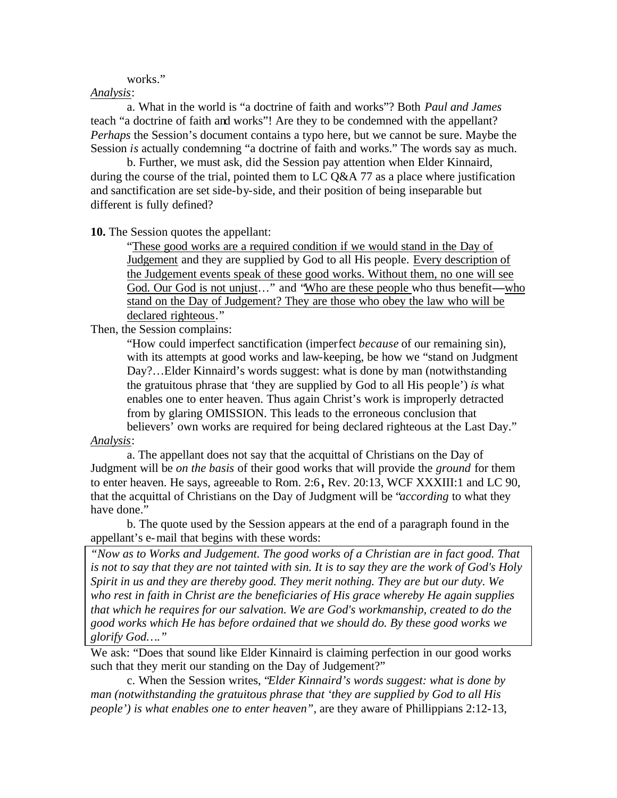#### works."

### *Analysis*:

a. What in the world is "a doctrine of faith and works"? Both *Paul and James* teach "a doctrine of faith and works"! Are they to be condemned with the appellant? *Perhaps* the Session's document contains a typo here, but we cannot be sure. Maybe the Session *is* actually condemning "a doctrine of faith and works." The words say as much.

b. Further, we must ask, did the Session pay attention when Elder Kinnaird, during the course of the trial, pointed them to LC Q&A 77 as a place where justification and sanctification are set side-by-side, and their position of being inseparable but different is fully defined?

**10.** The Session quotes the appellant:

"These good works are a required condition if we would stand in the Day of Judgement and they are supplied by God to all His people. Every description of the Judgement events speak of these good works. Without them, no one will see God. Our God is not unjust…" and "Who are these people who thus benefit**—**who stand on the Day of Judgement? They are those who obey the law who will be declared righteous."

Then, the Session complains:

"How could imperfect sanctification (imperfect *because* of our remaining sin), with its attempts at good works and law-keeping, be how we "stand on Judgment Day?…Elder Kinnaird's words suggest: what is done by man (notwithstanding the gratuitous phrase that 'they are supplied by God to all His people') *is* what enables one to enter heaven. Thus again Christ's work is improperly detracted from by glaring OMISSION. This leads to the erroneous conclusion that believers' own works are required for being declared righteous at the Last Day."

### *Analysis*:

a. The appellant does not say that the acquittal of Christians on the Day of Judgment will be *on the basis* of their good works that will provide the *ground* for them to enter heaven. He says, agreeable to Rom. 2:6**,** Rev. 20:13, WCF XXXIII:1 and LC 90, that the acquittal of Christians on the Day of Judgment will be "*according* to what they have done."

b. The quote used by the Session appears at the end of a paragraph found in the appellant's e-mail that begins with these words:

*"Now as to Works and Judgement. The good works of a Christian are in fact good. That is not to say that they are not tainted with sin. It is to say they are the work of God's Holy Spirit in us and they are thereby good. They merit nothing. They are but our duty. We who rest in faith in Christ are the beneficiaries of His grace whereby He again supplies that which he requires for our salvation. We are God's workmanship, created to do the good works which He has before ordained that we should do. By these good works we glorify God…."*

We ask: "Does that sound like Elder Kinnaird is claiming perfection in our good works such that they merit our standing on the Day of Judgement?"

c. When the Session writes, "*Elder Kinnaird's words suggest: what is done by man (notwithstanding the gratuitous phrase that 'they are supplied by God to all His people') is what enables one to enter heaven",* are they aware of Phillippians 2:12-13,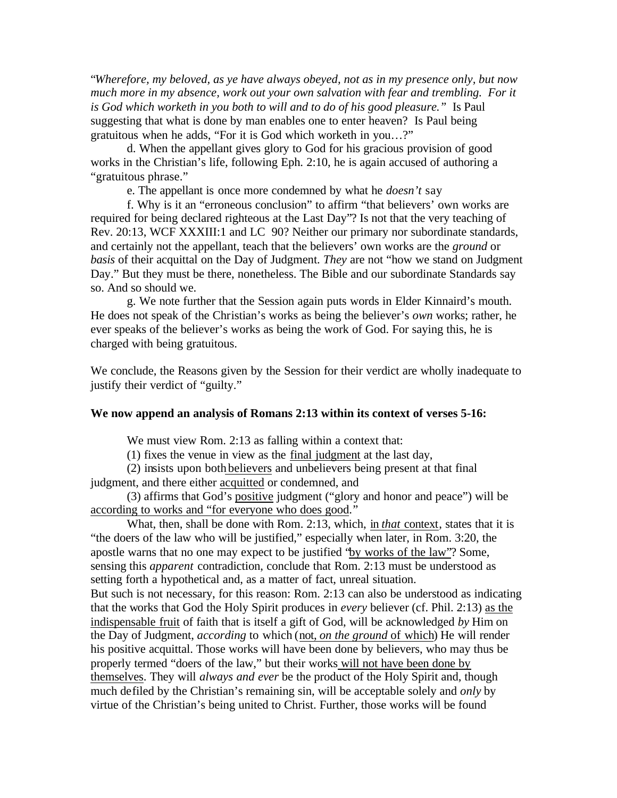"*Wherefore, my beloved, as ye have always obeyed, not as in my presence only, but now much more in my absence, work out your own salvation with fear and trembling. For it is God which worketh in you both to will and to do of his good pleasure."* Is Paul suggesting that what is done by man enables one to enter heaven? Is Paul being gratuitous when he adds, "For it is God which worketh in you…?"

d. When the appellant gives glory to God for his gracious provision of good works in the Christian's life, following Eph. 2:10, he is again accused of authoring a "gratuitous phrase."

e. The appellant is once more condemned by what he *doesn't* say

f. Why is it an "erroneous conclusion" to affirm "that believers' own works are required for being declared righteous at the Last Day"? Is not that the very teaching of Rev. 20:13, WCF XXXIII:1 and LC 90? Neither our primary nor subordinate standards, and certainly not the appellant, teach that the believers' own works are the *ground* or *basis* of their acquittal on the Day of Judgment. *They* are not "how we stand on Judgment Day." But they must be there, nonetheless. The Bible and our subordinate Standards say so. And so should we.

g. We note further that the Session again puts words in Elder Kinnaird's mouth. He does not speak of the Christian's works as being the believer's *own* works; rather, he ever speaks of the believer's works as being the work of God. For saying this, he is charged with being gratuitous.

We conclude, the Reasons given by the Session for their verdict are wholly inadequate to justify their verdict of "guilty."

#### **We now append an analysis of Romans 2:13 within its context of verses 5-16:**

We must view Rom. 2:13 as falling within a context that:

(1) fixes the venue in view as the final judgment at the last day,

(2) insists upon both believers and unbelievers being present at that final judgment, and there either acquitted or condemned, and

(3) affirms that God's positive judgment ("glory and honor and peace") will be according to works and "for everyone who does good."

What, then, shall be done with Rom. 2:13, which, in *that* context, states that it is "the doers of the law who will be justified," especially when later, in Rom. 3:20, the apostle warns that no one may expect to be justified "by works of the law"? Some, sensing this *apparent* contradiction, conclude that Rom. 2:13 must be understood as setting forth a hypothetical and, as a matter of fact, unreal situation. But such is not necessary, for this reason: Rom. 2:13 can also be understood as indicating that the works that God the Holy Spirit produces in *every* believer (cf. Phil. 2:13) as the indispensable fruit of faith that is itself a gift of God, will be acknowledged *by* Him on the Day of Judgment, *according* to which (not, *on the ground* of which) He will render his positive acquittal. Those works will have been done by believers, who may thus be properly termed "doers of the law," but their works will not have been done by themselves. They will *always and ever* be the product of the Holy Spirit and, though much defiled by the Christian's remaining sin, will be acceptable solely and *only* by virtue of the Christian's being united to Christ. Further, those works will be found